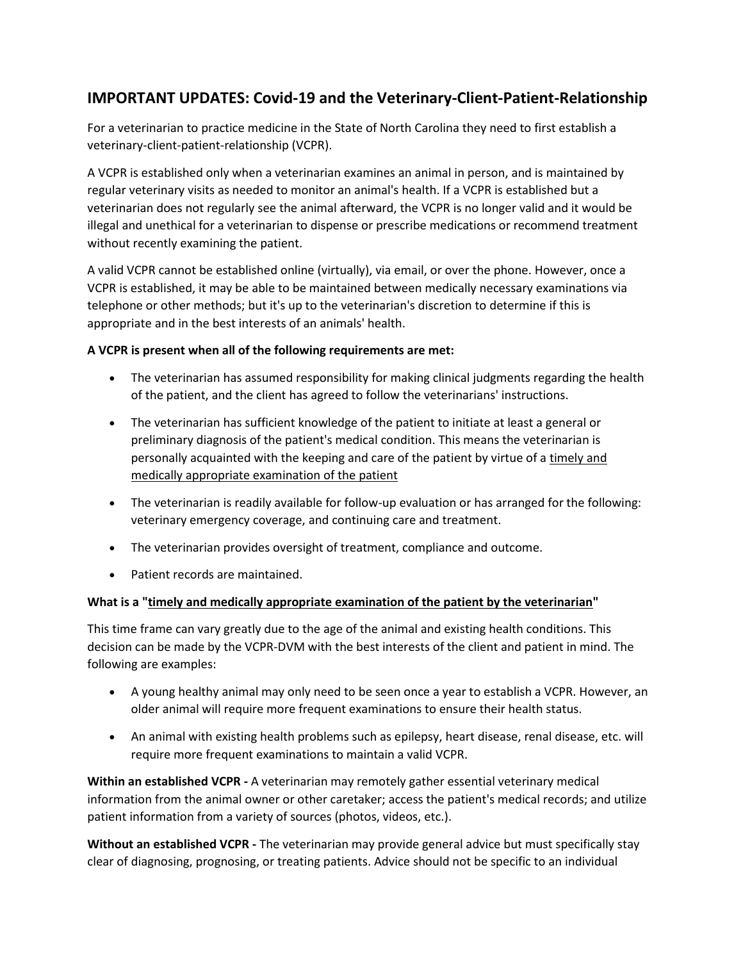# **IMPORTANT UPDATES: Covid-19 and the Veterinary-Client-Patient-Relationship**

For a veterinarian to practice medicine in the State of North Carolina they need to first establish a veterinary-client-patient-relationship (VCPR).

A VCPR is established only when a veterinarian examines an animal in person, and is maintained by regular veterinary visits as needed to monitor an animal's health. If a VCPR is established but a veterinarian does not regularly see the animal afterward, the VCPR is no longer valid and it would be illegal and unethical for a veterinarian to dispense or prescribe medications or recommend treatment without recently examining the patient.

A valid VCPR cannot be established online (virtually), via email, or over the phone. However, once a VCPR is established, it may be able to be maintained between medically necessary examinations via telephone or other methods; but it's up to the veterinarian's discretion to determine if this is appropriate and in the best interests of an animals' health.

## **A VCPR is present when all of the following requirements are met:**

- The veterinarian has assumed responsibility for making clinical judgments regarding the health of the patient, and the client has agreed to follow the veterinarians' instructions.
- The veterinarian has sufficient knowledge of the patient to initiate at least a general or preliminary diagnosis of the patient's medical condition. This means the veterinarian is personally acquainted with the keeping and care of the patient by virtue of a timely and medically appropriate examination of the patient
- The veterinarian is readily available for follow-up evaluation or has arranged for the following: veterinary emergency coverage, and continuing care and treatment.
- The veterinarian provides oversight of treatment, compliance and outcome.
- Patient records are maintained.

## **What is a "timely and medically appropriate examination of the patient by the veterinarian"**

This time frame can vary greatly due to the age of the animal and existing health conditions. This decision can be made by the VCPR-DVM with the best interests of the client and patient in mind. The following are examples:

- A young healthy animal may only need to be seen once a year to establish a VCPR. However, an older animal will require more frequent examinations to ensure their health status.
- An animal with existing health problems such as epilepsy, heart disease, renal disease, etc. will require more frequent examinations to maintain a valid VCPR.

**Within an established VCPR -** A veterinarian may remotely gather essential veterinary medical information from the animal owner or other caretaker; access the patient's medical records; and utilize patient information from a variety of sources (photos, videos, etc.).

**Without an established VCPR -** The veterinarian may provide general advice but must specifically stay clear of diagnosing, prognosing, or treating patients. Advice should not be specific to an individual